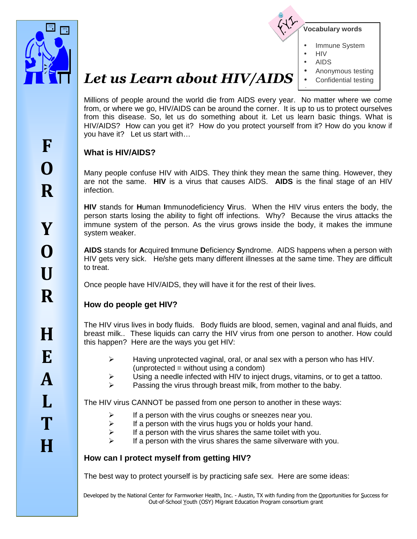



- Immune System
- HIV
- AIDS

•

- Anonymous testing
- Confidential testing

# *Let us Learn about HIV/AIDS*

Millions of people around the world die from AIDS every year. No matter where we come from, or where we go, HIV/AIDS can be around the corner. It is up to us to protect ourselves from this disease. So, let us do something about it. Let us learn basic things. What is HIV/AIDS? How can you get it? How do you protect yourself from it? How do you know if you have it? Let us start with…

#### **What is HIV/AIDS?**

Many people confuse HIV with AIDS. They think they mean the same thing. However, they are not the same. **HIV** is a virus that causes AIDS. **AIDS** is the final stage of an HIV infection.

**HIV** stands for **H**uman **I**mmunodeficiency **V**irus. When the HIV virus enters the body, the person starts losing the ability to fight off infections. Why? Because the virus attacks the immune system of the person. As the virus grows inside the body, it makes the immune system weaker.

**AIDS** stands for **A**cquired **I**mmune **D**eficiency **S**yndrome. AIDS happens when a person with HIV gets very sick. He/she gets many different illnesses at the same time. They are difficult to treat.

Once people have HIV/AIDS, they will have it for the rest of their lives.

## **How do people get HIV?**

The HIV virus lives in body fluids. Body fluids are blood, semen, vaginal and anal fluids, and breast milk.. These liquids can carry the HIV virus from one person to another. How could this happen? Here are the ways you get HIV:

- Having unprotected vaginal, oral, or anal sex with a person who has HIV. (unprotected = without using a condom)
- Using a needle infected with HIV to inject drugs, vitamins, or to get a tattoo.
- Passing the virus through breast milk, from mother to the baby.

The HIV virus CANNOT be passed from one person to another in these ways:

- $\triangleright$  If a person with the virus coughs or sneezes near you.
- $\triangleright$  If a person with the virus hugs you or holds your hand.
- $\triangleright$  If a person with the virus shares the same toilet with you.
- $\triangleright$  If a person with the virus shares the same silverware with you.

## **How can I protect myself from getting HIV?**

The best way to protect yourself is by practicing safe sex. Here are some ideas:

Developed by the National Center for Farmworker Health, Inc. - Austin, TX with funding from the Opportunities for Success for Out-of-School Youth (OSY) Migrant Education Program consortium grant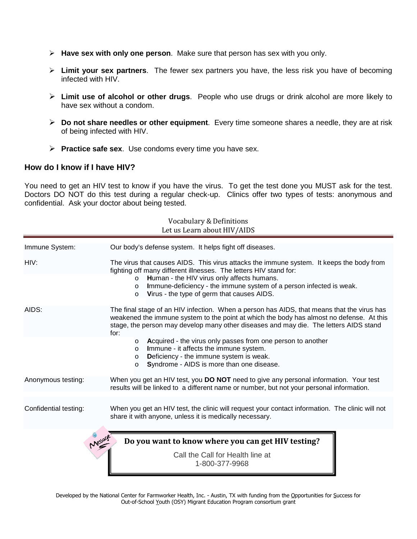- **Have sex with only one person**.Make sure that person has sex with you only.
- **Limit your sex partners**.The fewer sex partners you have, the less risk you have of becoming infected with HIV.
- **Limit use of alcohol or other drugs**.People who use drugs or drink alcohol are more likely to have sex without a condom.
- **Do not share needles or other equipment**. Every time someone shares a needle, they are at risk of being infected with HIV.
- **Practice safe sex**. Use condoms every time you have sex.

#### **How do I know if I have HIV?**

You need to get an HIV test to know if you have the virus. To get the test done you MUST ask for the test. Doctors DO NOT do this test during a regular check-up. Clinics offer two types of tests: anonymous and confidential. Ask your doctor about being tested.

| Vocabulary & Definitions<br>Let us Learn about HIV/AIDS |                                                                                                                                                                                                                                                                                                                                                                    |  |  |
|---------------------------------------------------------|--------------------------------------------------------------------------------------------------------------------------------------------------------------------------------------------------------------------------------------------------------------------------------------------------------------------------------------------------------------------|--|--|
| Immune System:                                          | Our body's defense system. It helps fight off diseases.                                                                                                                                                                                                                                                                                                            |  |  |
| HIV:                                                    | The virus that causes AIDS. This virus attacks the immune system. It keeps the body from<br>fighting off many different illnesses. The letters HIV stand for:<br>Human - the HIV virus only affects humans.<br>$\circ$<br>Immune-deficiency - the immune system of a person infected is weak.<br>$\Omega$<br>Virus - the type of germ that causes AIDS.<br>$\circ$ |  |  |
| AIDS:                                                   | The final stage of an HIV infection. When a person has AIDS, that means that the virus has<br>weakened the immune system to the point at which the body has almost no defense. At this<br>stage, the person may develop many other diseases and may die. The letters AIDS stand<br>for:                                                                            |  |  |
|                                                         | Acquired - the virus only passes from one person to another<br>$\circ$<br>Immune - it affects the immune system.<br>$\circ$<br>Deficiency - the immune system is weak.<br>$\circ$<br>Syndrome - AIDS is more than one disease.<br>$\circ$                                                                                                                          |  |  |
| Anonymous testing:                                      | When you get an HIV test, you DO NOT need to give any personal information. Your test<br>results will be linked to a different name or number, but not your personal information.                                                                                                                                                                                  |  |  |
| Confidential testing:                                   | When you get an HIV test, the clinic will request your contact information. The clinic will not<br>share it with anyone, unless it is medically necessary.                                                                                                                                                                                                         |  |  |
| Messag                                                  | Do you want to know where you can get HIV testing?<br>Call the Call for Health line at<br>1-800-377-9968                                                                                                                                                                                                                                                           |  |  |

Developed by the National Center for Farmworker Health, Inc. - Austin, TX with funding from the Opportunities for Success for Out-of-School Youth (OSY) Migrant Education Program consortium grant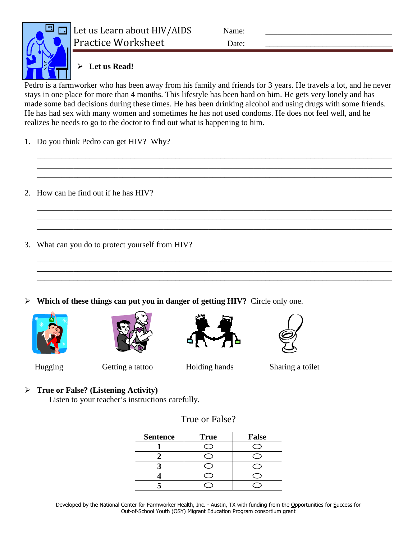

Let us Learn about HIV/AIDS Name: Practice Worksheet Date:

## **Let us Read!**

Pedro is a farmworker who has been away from his family and friends for 3 years. He travels a lot, and he never stays in one place for more than 4 months. This lifestyle has been hard on him. He gets very lonely and has made some bad decisions during these times. He has been drinking alcohol and using drugs with some friends. He has had sex with many women and sometimes he has not used condoms. He does not feel well, and he realizes he needs to go to the doctor to find out what is happening to him.

\_\_\_\_\_\_\_\_\_\_\_\_\_\_\_\_\_\_\_\_\_\_\_\_\_\_\_\_\_\_\_\_\_\_\_\_\_\_\_\_\_\_\_\_\_\_\_\_\_\_\_\_\_\_\_\_\_\_\_\_\_\_\_\_\_\_\_\_\_\_\_\_\_\_\_\_\_\_\_\_\_\_\_\_\_\_\_ \_\_\_\_\_\_\_\_\_\_\_\_\_\_\_\_\_\_\_\_\_\_\_\_\_\_\_\_\_\_\_\_\_\_\_\_\_\_\_\_\_\_\_\_\_\_\_\_\_\_\_\_\_\_\_\_\_\_\_\_\_\_\_\_\_\_\_\_\_\_\_\_\_\_\_\_\_\_\_\_\_\_\_\_\_\_\_ \_\_\_\_\_\_\_\_\_\_\_\_\_\_\_\_\_\_\_\_\_\_\_\_\_\_\_\_\_\_\_\_\_\_\_\_\_\_\_\_\_\_\_\_\_\_\_\_\_\_\_\_\_\_\_\_\_\_\_\_\_\_\_\_\_\_\_\_\_\_\_\_\_\_\_\_\_\_\_\_\_\_\_\_\_\_\_

\_\_\_\_\_\_\_\_\_\_\_\_\_\_\_\_\_\_\_\_\_\_\_\_\_\_\_\_\_\_\_\_\_\_\_\_\_\_\_\_\_\_\_\_\_\_\_\_\_\_\_\_\_\_\_\_\_\_\_\_\_\_\_\_\_\_\_\_\_\_\_\_\_\_\_\_\_\_\_\_\_\_\_\_\_\_\_ \_\_\_\_\_\_\_\_\_\_\_\_\_\_\_\_\_\_\_\_\_\_\_\_\_\_\_\_\_\_\_\_\_\_\_\_\_\_\_\_\_\_\_\_\_\_\_\_\_\_\_\_\_\_\_\_\_\_\_\_\_\_\_\_\_\_\_\_\_\_\_\_\_\_\_\_\_\_\_\_\_\_\_\_\_\_\_ \_\_\_\_\_\_\_\_\_\_\_\_\_\_\_\_\_\_\_\_\_\_\_\_\_\_\_\_\_\_\_\_\_\_\_\_\_\_\_\_\_\_\_\_\_\_\_\_\_\_\_\_\_\_\_\_\_\_\_\_\_\_\_\_\_\_\_\_\_\_\_\_\_\_\_\_\_\_\_\_\_\_\_\_\_\_\_

\_\_\_\_\_\_\_\_\_\_\_\_\_\_\_\_\_\_\_\_\_\_\_\_\_\_\_\_\_\_\_\_\_\_\_\_\_\_\_\_\_\_\_\_\_\_\_\_\_\_\_\_\_\_\_\_\_\_\_\_\_\_\_\_\_\_\_\_\_\_\_\_\_\_\_\_\_\_\_\_\_\_\_\_\_\_\_ \_\_\_\_\_\_\_\_\_\_\_\_\_\_\_\_\_\_\_\_\_\_\_\_\_\_\_\_\_\_\_\_\_\_\_\_\_\_\_\_\_\_\_\_\_\_\_\_\_\_\_\_\_\_\_\_\_\_\_\_\_\_\_\_\_\_\_\_\_\_\_\_\_\_\_\_\_\_\_\_\_\_\_\_\_\_\_ \_\_\_\_\_\_\_\_\_\_\_\_\_\_\_\_\_\_\_\_\_\_\_\_\_\_\_\_\_\_\_\_\_\_\_\_\_\_\_\_\_\_\_\_\_\_\_\_\_\_\_\_\_\_\_\_\_\_\_\_\_\_\_\_\_\_\_\_\_\_\_\_\_\_\_\_\_\_\_\_\_\_\_\_\_\_\_

- 1. Do you think Pedro can get HIV? Why?
- 2. How can he find out if he has HIV?
- 3. What can you do to protect yourself from HIV?
- **Which of these things can put you in danger of getting HIV?** Circle only one.









Hugging Getting a tattoo Holding hands Sharing a toilet

## **True or False? (Listening Activity)**

Listen to your teacher's instructions carefully.

| <b>Sentence</b> | <b>True</b> | <b>False</b> |
|-----------------|-------------|--------------|
|                 |             |              |
|                 |             |              |
|                 |             |              |
|                 |             |              |
|                 |             |              |

True or False?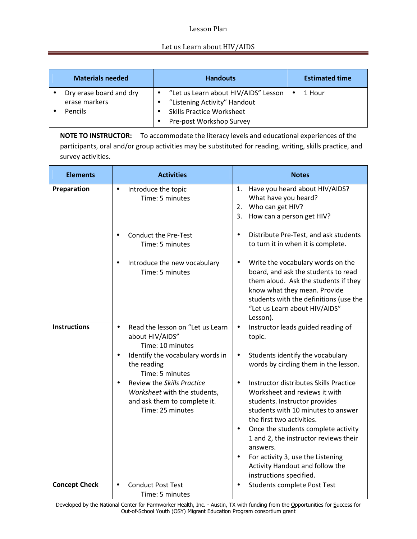#### Lesson Plan

#### Let us Learn about HIV/AIDS

| <b>Materials needed</b>                  | <b>Handouts</b>                                                                     | <b>Estimated time</b> |
|------------------------------------------|-------------------------------------------------------------------------------------|-----------------------|
| Dry erase board and dry<br>erase markers | • "Let us Learn about HIV/AIDS" Lesson<br>"Listening Activity" Handout<br>$\bullet$ | 1 Hour                |
| Pencils                                  | <b>Skills Practice Worksheet</b><br>Pre-post Workshop Survey                        |                       |

**NOTE TO INSTRUCTOR:** To accommodate the literacy levels and educational experiences of the participants, oral and/or group activities may be substituted for reading, writing, skills practice, and survey activities.

| <b>Elements</b>      | <b>Activities</b>                                                                                                           | <b>Notes</b>                                                                                                                                                                                                                                                                                                                                                                                                      |  |  |
|----------------------|-----------------------------------------------------------------------------------------------------------------------------|-------------------------------------------------------------------------------------------------------------------------------------------------------------------------------------------------------------------------------------------------------------------------------------------------------------------------------------------------------------------------------------------------------------------|--|--|
| Preparation          | Introduce the topic<br>$\bullet$<br>Time: 5 minutes                                                                         | Have you heard about HIV/AIDS?<br>1.<br>What have you heard?<br>Who can get HIV?<br>2.<br>3.<br>How can a person get HIV?                                                                                                                                                                                                                                                                                         |  |  |
|                      | <b>Conduct the Pre-Test</b><br>$\bullet$<br>Time: 5 minutes                                                                 | Distribute Pre-Test, and ask students<br>$\bullet$<br>to turn it in when it is complete.                                                                                                                                                                                                                                                                                                                          |  |  |
|                      | Introduce the new vocabulary<br>Time: 5 minutes                                                                             | Write the vocabulary words on the<br>$\bullet$<br>board, and ask the students to read<br>them aloud. Ask the students if they<br>know what they mean. Provide<br>students with the definitions (use the<br>"Let us Learn about HIV/AIDS"<br>Lesson).                                                                                                                                                              |  |  |
| <b>Instructions</b>  | Read the lesson on "Let us Learn<br>$\bullet$<br>about HIV/AIDS"<br>Time: 10 minutes                                        | Instructor leads guided reading of<br>$\bullet$<br>topic.                                                                                                                                                                                                                                                                                                                                                         |  |  |
|                      | Identify the vocabulary words in<br>$\bullet$<br>the reading<br>Time: 5 minutes                                             | Students identify the vocabulary<br>$\bullet$<br>words by circling them in the lesson.                                                                                                                                                                                                                                                                                                                            |  |  |
|                      | Review the Skills Practice<br>$\bullet$<br>Worksheet with the students,<br>and ask them to complete it.<br>Time: 25 minutes | Instructor distributes Skills Practice<br>$\bullet$<br>Worksheet and reviews it with<br>students. Instructor provides<br>students with 10 minutes to answer<br>the first two activities.<br>Once the students complete activity<br>$\bullet$<br>1 and 2, the instructor reviews their<br>answers.<br>For activity 3, use the Listening<br>$\bullet$<br>Activity Handout and follow the<br>instructions specified. |  |  |
| <b>Concept Check</b> | <b>Conduct Post Test</b><br>$\bullet$<br>Time: 5 minutes                                                                    | Students complete Post Test<br>$\bullet$                                                                                                                                                                                                                                                                                                                                                                          |  |  |

Developed by the National Center for Farmworker Health, Inc. - Austin, TX with funding from the Opportunities for Success for Out-of-School Youth (OSY) Migrant Education Program consortium grant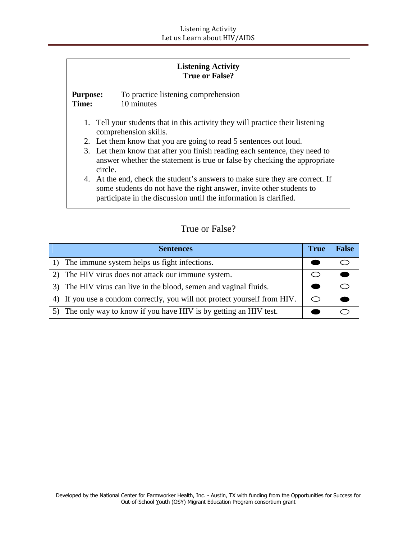| <b>Listening Activity</b> |  |
|---------------------------|--|
| <b>True or False?</b>     |  |

**Purpose:** To practice listening comprehension **Time:** 10 minutes

- 1. Tell your students that in this activity they will practice their listening comprehension skills.
- 2. Let them know that you are going to read 5 sentences out loud.
- 3. Let them know that after you finish reading each sentence, they need to answer whether the statement is true or false by checking the appropriate circle.
- 4. At the end, check the student's answers to make sure they are correct. If some students do not have the right answer, invite other students to participate in the discussion until the information is clarified.

#### True or False?

| <b>Sentences</b>                                                          | <b>True</b> | <b>False</b> |
|---------------------------------------------------------------------------|-------------|--------------|
| 1) The immune system helps us fight infections.                           |             |              |
| 2) The HIV virus does not attack our immune system.                       |             |              |
| 3) The HIV virus can live in the blood, semen and vaginal fluids.         |             |              |
| 4) If you use a condom correctly, you will not protect yourself from HIV. | ⌒           |              |
| 5) The only way to know if you have HIV is by getting an HIV test.        |             |              |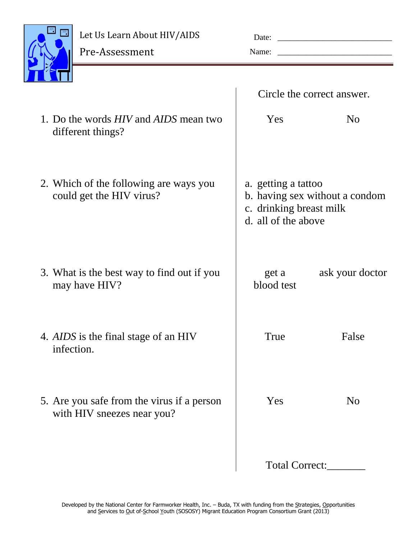

## Let Us Learn About HIV/AIDS

| Let us learn nout in vinds |  |
|----------------------------|--|
| Pre-Assessment             |  |

| Date: |  |
|-------|--|
| Name: |  |

|                                                                          | Circle the correct answer.                                                                              |                 |
|--------------------------------------------------------------------------|---------------------------------------------------------------------------------------------------------|-----------------|
| 1. Do the words <i>HIV</i> and <i>AIDS</i> mean two<br>different things? | Yes                                                                                                     | N <sub>0</sub>  |
| 2. Which of the following are ways you<br>could get the HIV virus?       | a. getting a tattoo<br>b. having sex without a condom<br>c. drinking breast milk<br>d. all of the above |                 |
| 3. What is the best way to find out if you<br>may have HIV?              | get a<br>blood test                                                                                     | ask your doctor |
| 4. AIDS is the final stage of an HIV<br>infection.                       | True                                                                                                    | False           |
| 5. Are you safe from the virus if a person<br>with HIV sneezes near you? | Yes                                                                                                     | N <sub>o</sub>  |
|                                                                          | Total Correct:                                                                                          |                 |